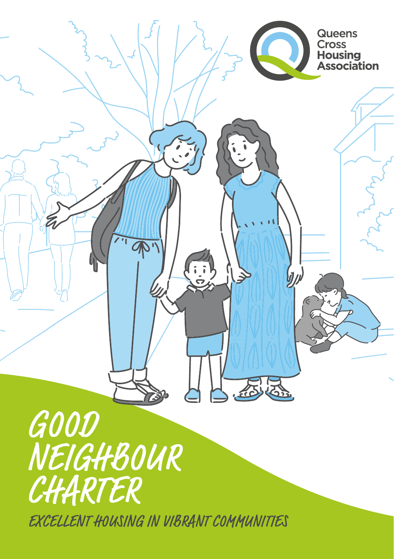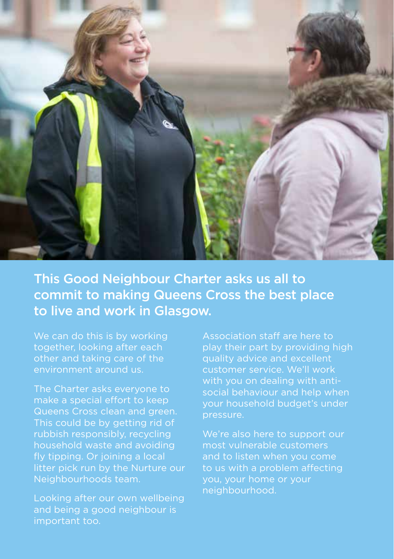

This Good Neighbour Charter asks us all to commit to making Queens Cross the best place to live and work in Glasgow.

We can do this is by working together, looking after each other and taking care of the environment around us.

The Charter asks everyone to make a special effort to keep Queens Cross clean and green. This could be by getting rid of rubbish responsibly, recycling household waste and avoiding fly tipping. Or joining a local litter pick run by the Nurture our Neighbourhoods team.

Looking after our own wellbeing and being a good neighbour is important too.

Association staff are here to play their part by providing high quality advice and excellent customer service. We'll work with you on dealing with antisocial behaviour and help when your household budget's under pressure.

We're also here to support our most vulnerable customers and to listen when you come to us with a problem affecting you, your home or your neighbourhood.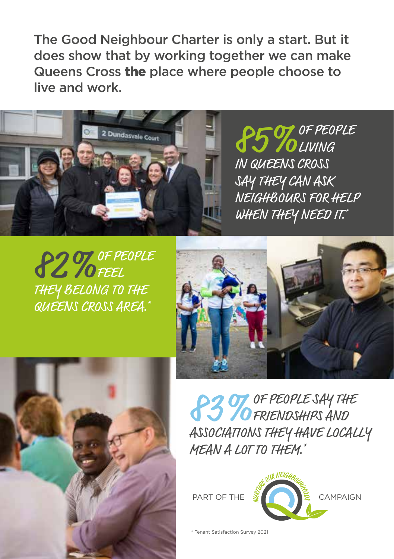The Good Neighbour Charter is only a start. But it does show that by working together we can make Queens Cross the place where people choose to live and work.



**85 TO LIVING** LIVING IN QUEENS CROSS SAY THEY CAN ASK NEIGHBOURS FOR HELP WHEN THEY NEED IT.\*

**82 % OF PEOPLE** FEEL THEY BELONG TO THE QUEENS CROSS AREA.\*





83 TO FREOPLE SAY THE FRIENDSHIPS AND ASSOCIATIONS THEY HAVE LOCALLY MEAN A LOT TO THEM.\*



\* Tenant Satisfaction Survey 2021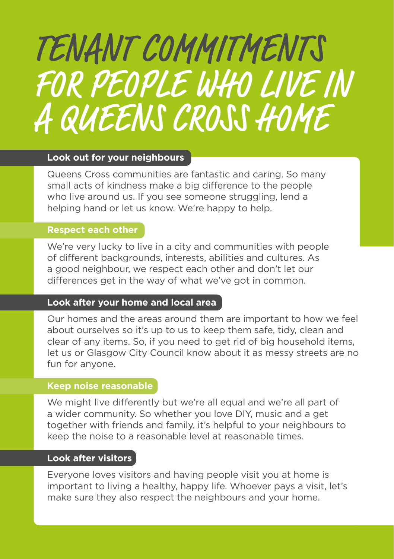# TENANT COMMITMENTS FOR PEOPLE WHO LIVE IN A QUEENS CROSS HOME

#### **Look out for your neighbours**

Queens Cross communities are fantastic and caring. So many small acts of kindness make a big difference to the people who live around us. If you see someone struggling, lend a helping hand or let us know. We're happy to help.

#### **Respect each other**

We're very lucky to live in a city and communities with people of different backgrounds, interests, abilities and cultures. As a good neighbour, we respect each other and don't let our differences get in the way of what we've got in common.

## **Look after your home and local area**

Our homes and the areas around them are important to how we feel about ourselves so it's up to us to keep them safe, tidy, clean and clear of any items. So, if you need to get rid of big household items, let us or Glasgow City Council know about it as messy streets are no fun for anyone.

#### **Keep noise reasonable**

We might live differently but we're all equal and we're all part of a wider community. So whether you love DIY, music and a get together with friends and family, it's helpful to your neighbours to keep the noise to a reasonable level at reasonable times.

#### **Look after visitors**

Everyone loves visitors and having people visit you at home is important to living a healthy, happy life. Whoever pays a visit, let's make sure they also respect the neighbours and your home.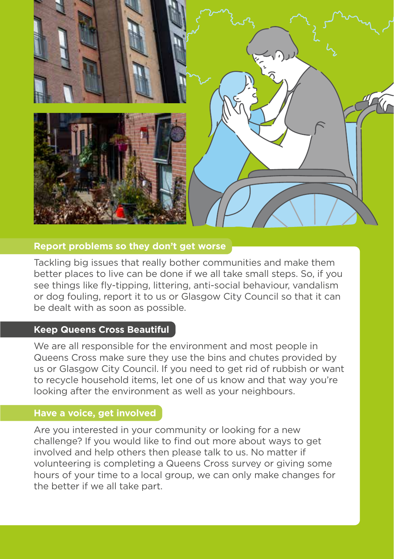

#### **Report problems so they don't get worse**

Tackling big issues that really bother communities and make them better places to live can be done if we all take small steps. So, if you see things like fly-tipping, littering, anti-social behaviour, vandalism or dog fouling, report it to us or Glasgow City Council so that it can be dealt with as soon as possible.

#### **Keep Queens Cross Beautiful**

We are all responsible for the environment and most people in Queens Cross make sure they use the bins and chutes provided by us or Glasgow City Council. If you need to get rid of rubbish or want to recycle household items, let one of us know and that way you're looking after the environment as well as your neighbours.

#### **Have a voice, get involved**

Are you interested in your community or looking for a new challenge? If you would like to find out more about ways to get involved and help others then please talk to us. No matter if volunteering is completing a Queens Cross survey or giving some hours of your time to a local group, we can only make changes for the better if we all take part.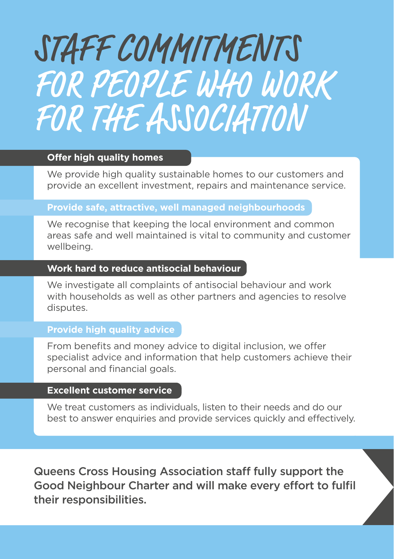# STAFF COMMITMENTS FOR PEOPLE WHO WORK FOR THE ASSOCIATION

## **Offer high quality homes**

We provide high quality sustainable homes to our customers and provide an excellent investment, repairs and maintenance service.

#### **Provide safe, attractive, well managed neighbourhoods**

We recognise that keeping the local environment and common areas safe and well maintained is vital to community and customer wellbeing.

#### **Work hard to reduce antisocial behaviour**

We investigate all complaints of antisocial behaviour and work with households as well as other partners and agencies to resolve disputes.

### **Provide high quality advice**

From benefits and money advice to digital inclusion, we offer specialist advice and information that help customers achieve their personal and financial goals.

#### **Excellent customer service**

We treat customers as individuals, listen to their needs and do our best to answer enquiries and provide services quickly and effectively.

Queens Cross Housing Association staff fully support the Good Neighbour Charter and will make every effort to fulfil their responsibilities.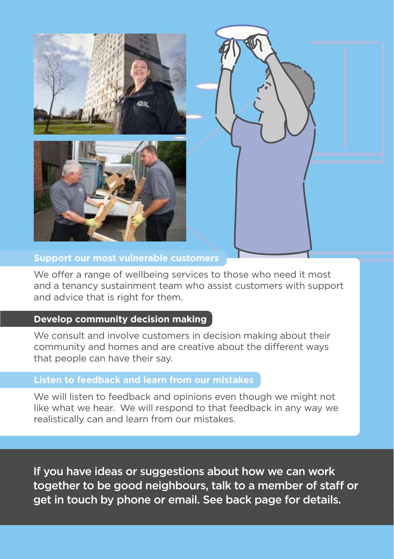





## **Support our most vulnerable customers**

We offer a range of wellbeing services to those who need it most and a tenancy sustainment team who assist customers with support and advice that is right for them.

#### **Develop community decision making**

We consult and involve customers in decision making about their community and homes and are creative about the different ways that people can have their say.

# **Listen to feedback and learn from our mistakes**

We will listen to feedback and opinions even though we might not like what we hear. We will respond to that feedback in any way we realistically can and learn from our mistakes.

If you have ideas or suggestions about how we can work together to be good neighbours, talk to a member of staff or get in touch by phone or email. See back page for details.